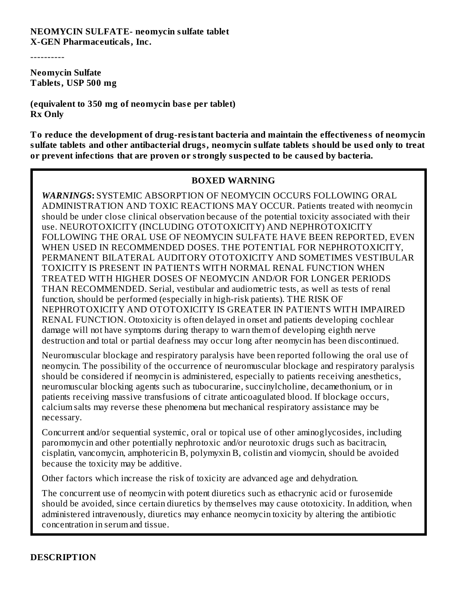**NEOMYCIN SULFATE- neomycin sulfate tablet X-GEN Pharmaceuticals, Inc.**

----------

**Neomycin Sulfate Tablets, USP 500 mg**

**(equivalent to 350 mg of neomycin bas e per tablet) Rx Only**

**To reduce the development of drug-resistant bacteria and maintain the effectiveness of neomycin sulfate tablets and other antibacterial drugs, neomycin sulfate tablets should be us ed only to treat or prevent infections that are proven or strongly suspected to be caus ed by bacteria.**

#### **BOXED WARNING**

*WARNINGS***:** SYSTEMIC ABSORPTION OF NEOMYCIN OCCURS FOLLOWING ORAL ADMINISTRATION AND TOXIC REACTIONS MAY OCCUR. Patients treated with neomycin should be under close clinical observation because of the potential toxicity associated with their use. NEUROTOXICITY (INCLUDING OTOTOXICITY) AND NEPHROTOXICITY FOLLOWING THE ORAL USE OF NEOMYCIN SULFATE HAVE BEEN REPORTED, EVEN WHEN USED IN RECOMMENDED DOSES. THE POTENTIAL FOR NEPHROTOXICITY, PERMANENT BILATERAL AUDITORY OTOTOXICITY AND SOMETIMES VESTIBULAR TOXICITY IS PRESENT IN PATIENTS WITH NORMAL RENAL FUNCTION WHEN TREATED WITH HIGHER DOSES OF NEOMYCIN AND/OR FOR LONGER PERIODS THAN RECOMMENDED. Serial, vestibular and audiometric tests, as well as tests of renal function, should be performed (especially in high-risk patients). THE RISK OF NEPHROTOXICITY AND OTOTOXICITY IS GREATER IN PATIENTS WITH IMPAIRED RENAL FUNCTION. Ototoxicity is often delayed in onset and patients developing cochlear damage will not have symptoms during therapy to warn them of developing eighth nerve destruction and total or partial deafness may occur long after neomycin has been discontinued.

Neuromuscular blockage and respiratory paralysis have been reported following the oral use of neomycin. The possibility of the occurrence of neuromuscular blockage and respiratory paralysis should be considered if neomycin is administered, especially to patients receiving anesthetics, neuromuscular blocking agents such as tubocurarine, succinylcholine, decamethonium, or in patients receiving massive transfusions of citrate anticoagulated blood. If blockage occurs, calcium salts may reverse these phenomena but mechanical respiratory assistance may be necessary.

Concurrent and/or sequential systemic, oral or topical use of other aminoglycosides, including paromomycin and other potentially nephrotoxic and/or neurotoxic drugs such as bacitracin, cisplatin, vancomycin, amphotericin B, polymyxin B, colistin and viomycin, should be avoided because the toxicity may be additive.

Other factors which increase the risk of toxicity are advanced age and dehydration.

The concurrent use of neomycin with potent diuretics such as ethacrynic acid or furosemide should be avoided, since certain diuretics by themselves may cause ototoxicity. In addition, when administered intravenously, diuretics may enhance neomycin toxicity by altering the antibiotic concentration in serum and tissue.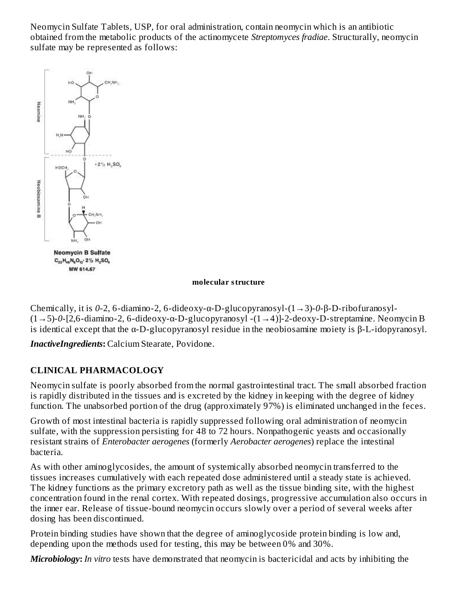Neomycin Sulfate Tablets, USP, for oral administration, contain neomycin which is an antibiotic obtained from the metabolic products of the actinomycete *Streptomyces fradiae*. Structurally, neomycin sulfate may be represented as follows:



#### **molecular structure**

Chemically, it is *0*-2, 6-diamino-2, 6-dideoxy-α-D-glucopyranosyl-(1→3)-*0*-β-D-ribofuranosyl- (1→5)-*0*-[2,6-diamino-2, 6-dideoxy-α-D-glucopyranosyl -(1→4)]-2-deoxy-D-streptamine. Neomycin B is identical except that the α-D-glucopyranosyl residue in the neobiosamine moiety is β-L-idopyranosyl.

*InactiveIngredients***:** Calcium Stearate, Povidone.

# **CLINICAL PHARMACOLOGY**

Neomycin sulfate is poorly absorbed from the normal gastrointestinal tract. The small absorbed fraction is rapidly distributed in the tissues and is excreted by the kidney in keeping with the degree of kidney function. The unabsorbed portion of the drug (approximately 97%) is eliminated unchanged in the feces.

Growth of most intestinal bacteria is rapidly suppressed following oral administration of neomycin sulfate, with the suppression persisting for 48 to 72 hours. Nonpathogenic yeasts and occasionally resistant strains of *Enterobacter aerogenes* (formerly *Aerobacter aerogenes*) replace the intestinal bacteria.

As with other aminoglycosides, the amount of systemically absorbed neomycin transferred to the tissues increases cumulatively with each repeated dose administered until a steady state is achieved. The kidney functions as the primary excretory path as well as the tissue binding site, with the highest concentration found in the renal cortex. With repeated dosings, progressive accumulation also occurs in the inner ear. Release of tissue-bound neomycin occurs slowly over a period of several weeks after dosing has been discontinued.

Protein binding studies have shown that the degree of aminoglycoside protein binding is low and, depending upon the methods used for testing, this may be between 0% and 30%.

*Microbiology***:** *In vitro* tests have demonstrated that neomycin is bactericidal and acts by inhibiting the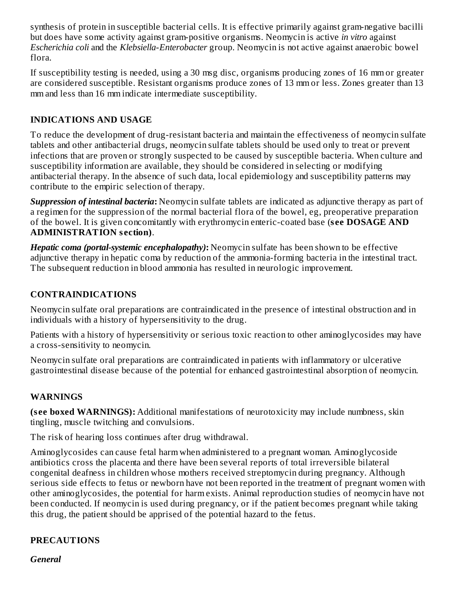synthesis of protein in susceptible bacterial cells. It is effective primarily against gram-negative bacilli but does have some activity against gram-positive organisms. Neomycin is active *in vitro* against *Escherichia coli* and the *Klebsiella*-*Enterobacter* group. Neomycin is not active against anaerobic bowel flora.

If susceptibility testing is needed, using a 30 msg disc, organisms producing zones of 16 mm or greater are considered susceptible. Resistant organisms produce zones of 13 mm or less. Zones greater than 13 mm and less than 16 mm indicate intermediate susceptibility.

# **INDICATIONS AND USAGE**

To reduce the development of drug-resistant bacteria and maintain the effectiveness of neomycin sulfate tablets and other antibacterial drugs, neomycin sulfate tablets should be used only to treat or prevent infections that are proven or strongly suspected to be caused by susceptible bacteria. When culture and susceptibility information are available, they should be considered in selecting or modifying antibacterial therapy. In the absence of such data, local epidemiology and susceptibility patterns may contribute to the empiric selection of therapy.

*Suppression of intestinal bacteria***:** Neomycin sulfate tablets are indicated as adjunctive therapy as part of a regimen for the suppression of the normal bacterial flora of the bowel, eg, preoperative preparation of the bowel. It is given concomitantly with erythromycin enteric-coated base (**s ee DOSAGE AND ADMINISTRATION s ection)**.

*Hepatic coma (portal-systemic encephalopathy)***:** Neomycin sulfate has been shown to be effective adjunctive therapy in hepatic coma by reduction of the ammonia-forming bacteria in the intestinal tract. The subsequent reduction in blood ammonia has resulted in neurologic improvement.

# **CONTRAINDICATIONS**

Neomycin sulfate oral preparations are contraindicated in the presence of intestinal obstruction and in individuals with a history of hypersensitivity to the drug.

Patients with a history of hypersensitivity or serious toxic reaction to other aminoglycosides may have a cross-sensitivity to neomycin.

Neomycin sulfate oral preparations are contraindicated in patients with inflammatory or ulcerative gastrointestinal disease because of the potential for enhanced gastrointestinal absorption of neomycin.

# **WARNINGS**

**(s ee boxed WARNINGS):** Additional manifestations of neurotoxicity may include numbness, skin tingling, muscle twitching and convulsions.

The risk of hearing loss continues after drug withdrawal.

Aminoglycosides can cause fetal harm when administered to a pregnant woman. Aminoglycoside antibiotics cross the placenta and there have been several reports of total irreversible bilateral congenital deafness in children whose mothers received streptomycin during pregnancy. Although serious side effects to fetus or newborn have not been reported in the treatment of pregnant women with other aminoglycosides, the potential for harm exists. Animal reproduction studies of neomycin have not been conducted. If neomycin is used during pregnancy, or if the patient becomes pregnant while taking this drug, the patient should be apprised of the potential hazard to the fetus.

### **PRECAUTIONS**

*General*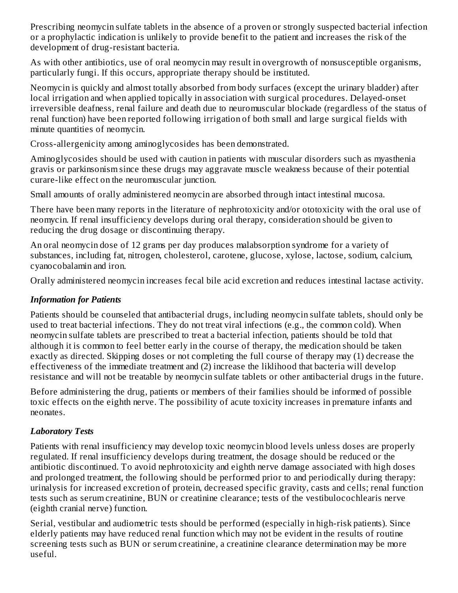Prescribing neomycin sulfate tablets in the absence of a proven or strongly suspected bacterial infection or a prophylactic indication is unlikely to provide benefit to the patient and increases the risk of the development of drug-resistant bacteria.

As with other antibiotics, use of oral neomycin may result in overgrowth of nonsusceptible organisms, particularly fungi. If this occurs, appropriate therapy should be instituted.

Neomycin is quickly and almost totally absorbed from body surfaces (except the urinary bladder) after local irrigation and when applied topically in association with surgical procedures. Delayed-onset irreversible deafness, renal failure and death due to neuromuscular blockade (regardless of the status of renal function) have been reported following irrigation of both small and large surgical fields with minute quantities of neomycin.

Cross-allergenicity among aminoglycosides has been demonstrated.

Aminoglycosides should be used with caution in patients with muscular disorders such as myasthenia gravis or parkinsonism since these drugs may aggravate muscle weakness because of their potential curare-like effect on the neuromuscular junction.

Small amounts of orally administered neomycin are absorbed through intact intestinal mucosa.

There have been many reports in the literature of nephrotoxicity and/or ototoxicity with the oral use of neomycin. If renal insufficiency develops during oral therapy, consideration should be given to reducing the drug dosage or discontinuing therapy.

An oral neomycin dose of 12 grams per day produces malabsorption syndrome for a variety of substances, including fat, nitrogen, cholesterol, carotene, glucose, xylose, lactose, sodium, calcium, cyanocobalamin and iron.

Orally administered neomycin increases fecal bile acid excretion and reduces intestinal lactase activity.

# *Information for Patients*

Patients should be counseled that antibacterial drugs, including neomycin sulfate tablets, should only be used to treat bacterial infections. They do not treat viral infections (e.g., the common cold). When neomycin sulfate tablets are prescribed to treat a bacterial infection, patients should be told that although it is common to feel better early in the course of therapy, the medication should be taken exactly as directed. Skipping doses or not completing the full course of therapy may (1) decrease the effectiveness of the immediate treatment and (2) increase the liklihood that bacteria will develop resistance and will not be treatable by neomycin sulfate tablets or other antibacterial drugs in the future.

Before administering the drug, patients or members of their families should be informed of possible toxic effects on the eighth nerve. The possibility of acute toxicity increases in premature infants and neonates.

# *Laboratory Tests*

Patients with renal insufficiency may develop toxic neomycin blood levels unless doses are properly regulated. If renal insufficiency develops during treatment, the dosage should be reduced or the antibiotic discontinued. To avoid nephrotoxicity and eighth nerve damage associated with high doses and prolonged treatment, the following should be performed prior to and periodically during therapy: urinalysis for increased excretion of protein, decreased specific gravity, casts and cells; renal function tests such as serum creatinine, BUN or creatinine clearance; tests of the vestibulocochlearis nerve (eighth cranial nerve) function.

Serial, vestibular and audiometric tests should be performed (especially in high-risk patients). Since elderly patients may have reduced renal function which may not be evident in the results of routine screening tests such as BUN or serum creatinine, a creatinine clearance determination may be more useful.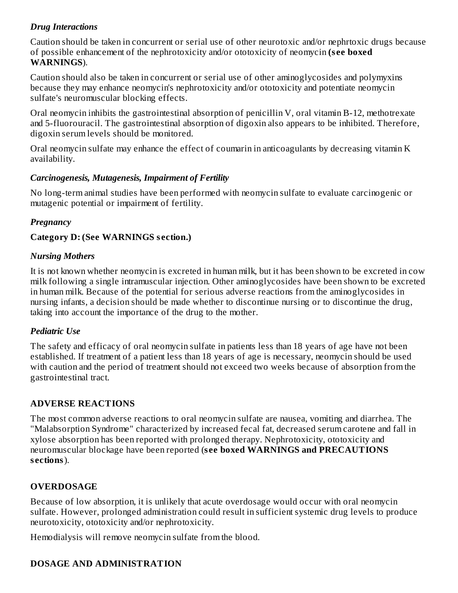### *Drug Interactions*

Caution should be taken in concurrent or serial use of other neurotoxic and/or nephrtoxic drugs because of possible enhancement of the nephrotoxicity and/or ototoxicity of neomycin **(s ee boxed WARNINGS**).

Caution should also be taken in concurrent or serial use of other aminoglycosides and polymyxins because they may enhance neomycin's nephrotoxicity and/or ototoxicity and potentiate neomycin sulfate's neuromuscular blocking effects.

Oral neomycin inhibits the gastrointestinal absorption of penicillin V, oral vitamin B-12, methotrexate and 5-fluorouracil. The gastrointestinal absorption of digoxin also appears to be inhibited. Therefore, digoxin serum levels should be monitored.

Oral neomycin sulfate may enhance the effect of coumarin in anticoagulants by decreasing vitamin K availability.

#### *Carcinogenesis, Mutagenesis, Impairment of Fertility*

No long-term animal studies have been performed with neomycin sulfate to evaluate carcinogenic or mutagenic potential or impairment of fertility.

### *Pregnancy*

### **Category D: (See WARNINGS s ection.)**

#### *Nursing Mothers*

It is not known whether neomycin is excreted in human milk, but it has been shown to be excreted in cow milk following a single intramuscular injection. Other aminoglycosides have been shown to be excreted in human milk. Because of the potential for serious adverse reactions from the aminoglycosides in nursing infants, a decision should be made whether to discontinue nursing or to discontinue the drug, taking into account the importance of the drug to the mother.

### *Pediatric Use*

The safety and efficacy of oral neomycin sulfate in patients less than 18 years of age have not been established. If treatment of a patient less than 18 years of age is necessary, neomycin should be used with caution and the period of treatment should not exceed two weeks because of absorption from the gastrointestinal tract.

### **ADVERSE REACTIONS**

The most common adverse reactions to oral neomycin sulfate are nausea, vomiting and diarrhea. The "Malabsorption Syndrome" characterized by increased fecal fat, decreased serum carotene and fall in xylose absorption has been reported with prolonged therapy. Nephrotoxicity, ototoxicity and neuromuscular blockage have been reported (**s ee boxed WARNINGS and PRECAUTIONS s ections**).

# **OVERDOSAGE**

Because of low absorption, it is unlikely that acute overdosage would occur with oral neomycin sulfate. However, prolonged administration could result in sufficient systemic drug levels to produce neurotoxicity, ototoxicity and/or nephrotoxicity.

Hemodialysis will remove neomycin sulfate from the blood.

### **DOSAGE AND ADMINISTRATION**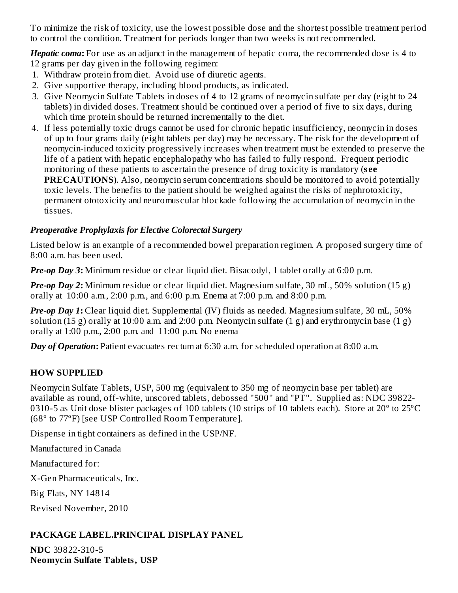To minimize the risk of toxicity, use the lowest possible dose and the shortest possible treatment period to control the condition. Treatment for periods longer than two weeks is not recommended.

*Hepatic coma***:** For use as an adjunct in the management of hepatic coma, the recommended dose is 4 to 12 grams per day given in the following regimen:

- 1. Withdraw protein from diet. Avoid use of diuretic agents.
- 2. Give supportive therapy, including blood products, as indicated.
- 3. Give Neomycin Sulfate Tablets in doses of 4 to 12 grams of neomycin sulfate per day (eight to 24 tablets) in divided doses. Treatment should be continued over a period of five to six days, during which time protein should be returned incrementally to the diet.
- 4. If less potentially toxic drugs cannot be used for chronic hepatic insufficiency, neomycin in doses of up to four grams daily (eight tablets per day) may be necessary. The risk for the development of neomycin-induced toxicity progressively increases when treatment must be extended to preserve the life of a patient with hepatic encephalopathy who has failed to fully respond. Frequent periodic monitoring of these patients to ascertain the presence of drug toxicity is mandatory (**s ee PRECAUTIONS**). Also, neomycin serum concentrations should be monitored to avoid potentially toxic levels. The benefits to the patient should be weighed against the risks of nephrotoxicity, permanent ototoxicity and neuromuscular blockade following the accumulation of neomycin in the tissues.

# *Preoperative Prophylaxis for Elective Colorectal Surgery*

Listed below is an example of a recommended bowel preparation regimen. A proposed surgery time of 8:00 a.m. has been used.

*Pre-op Day 3***:** Minimum residue or clear liquid diet. Bisacodyl, 1 tablet orally at 6:00 p.m.

*Pre-op Day 2***:** Minimum residue or clear liquid diet. Magnesium sulfate, 30 mL, 50% solution (15 g) orally at 10:00 a.m., 2:00 p.m., and 6:00 p.m. Enema at 7:00 p.m. and 8:00 p.m.

*Pre-op Day 1***:** Clear liquid diet. Supplemental (IV) fluids as needed. Magnesium sulfate, 30 mL, 50% solution (15 g) orally at 10:00 a.m. and 2:00 p.m. Neomycin sulfate (1 g) and erythromycin base (1 g) orally at 1:00 p.m., 2:00 p.m. and 11:00 p.m. No enema

*Day of Operation***:** Patient evacuates rectum at 6:30 a.m. for scheduled operation at 8:00 a.m.

# **HOW SUPPLIED**

Neomycin Sulfate Tablets, USP, 500 mg (equivalent to 350 mg of neomycin base per tablet) are available as round, off-white, unscored tablets, debossed "500" and "PT". Supplied as: NDC 39822- 0310-5 as Unit dose blister packages of 100 tablets (10 strips of 10 tablets each). Store at 20<sup>°</sup> to 25<sup>°</sup>C (68º to 77ºF) [see USP Controlled Room Temperature].

Dispense in tight containers as defined in the USP/NF.

Manufactured in Canada

Manufactured for:

X-Gen Pharmaceuticals, Inc.

Big Flats, NY 14814

Revised November, 2010

# **PACKAGE LABEL.PRINCIPAL DISPLAY PANEL**

**NDC** 39822-310-5 **Neomycin Sulfate Tablets, USP**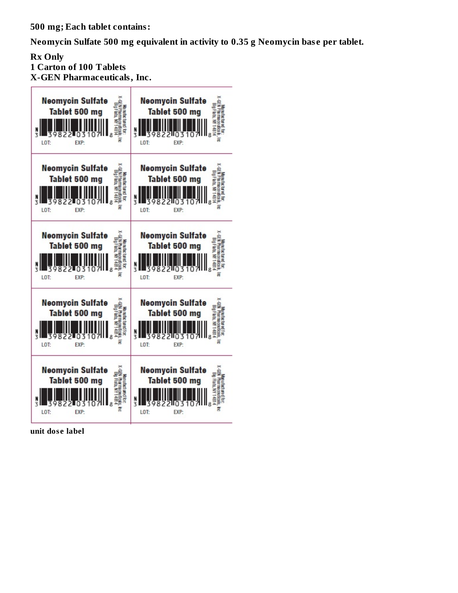**500 mg; Each tablet contains:**

**Neomycin Sulfate 500 mg equivalent in activity to 0.35 g Neomycin bas e per tablet.**

**Rx Only 1 Carton of 100 Tablets X-GEN Pharmaceuticals, Inc.**



**unit dos e label**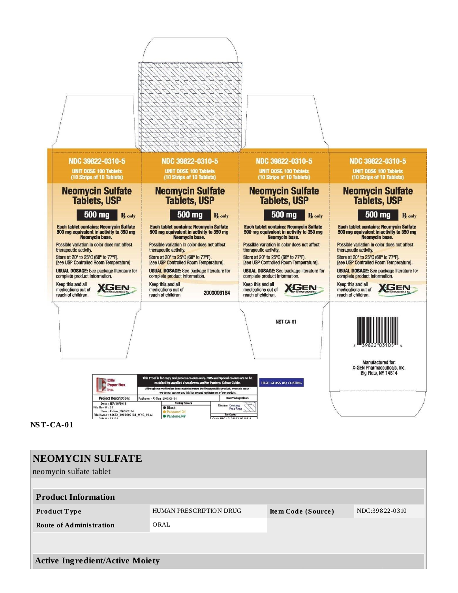

**NST-CA-01**

| <b>NEOMYCIN SULFATE</b><br>neomycin sulfate tablet |                         |                           |                |  |  |  |
|----------------------------------------------------|-------------------------|---------------------------|----------------|--|--|--|
| <b>Product Information</b>                         |                         |                           |                |  |  |  |
| <b>Product Type</b>                                | HUMAN PRESCRIPTION DRUG | <b>Item Code (Source)</b> | NDC:39822-0310 |  |  |  |
| <b>Route of Administration</b>                     | ORAL                    |                           |                |  |  |  |
|                                                    |                         |                           |                |  |  |  |
|                                                    |                         |                           |                |  |  |  |
| <b>Active Ingredient/Active Moiety</b>             |                         |                           |                |  |  |  |